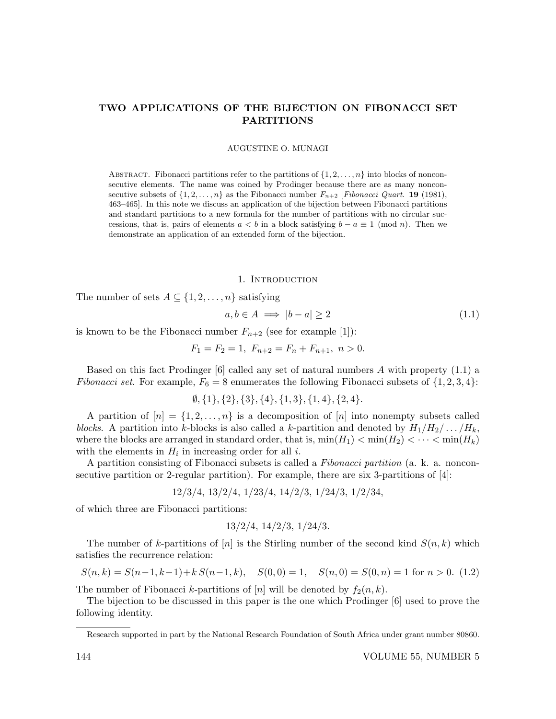# TWO APPLICATIONS OF THE BIJECTION ON FIBONACCI SET PARTITIONS

AUGUSTINE O. MUNAGI

ABSTRACT. Fibonacci partitions refer to the partitions of  $\{1, 2, \ldots, n\}$  into blocks of nonconsecutive elements. The name was coined by Prodinger because there are as many nonconsecutive subsets of  $\{1, 2, ..., n\}$  as the Fibonacci number  $F_{n+2}$  [Fibonacci Quart. **19** (1981), 463–465]. In this note we discuss an application of the bijection between Fibonacci partitions and standard partitions to a new formula for the number of partitions with no circular successions, that is, pairs of elements  $a < b$  in a block satisfying  $b - a \equiv 1 \pmod{n}$ . Then we demonstrate an application of an extended form of the bijection.

#### 1. INTRODUCTION

The number of sets  $A \subseteq \{1, 2, ..., n\}$  satisfying

$$
a, b \in A \implies |b - a| \ge 2 \tag{1.1}
$$

is known to be the Fibonacci number  $F_{n+2}$  (see for example [1]):

$$
F_1 = F_2 = 1, F_{n+2} = F_n + F_{n+1}, n > 0.
$$

Based on this fact Prodinger [6] called any set of natural numbers  $A$  with property  $(1.1)$  a Fibonacci set. For example,  $F_6 = 8$  enumerates the following Fibonacci subsets of  $\{1, 2, 3, 4\}$ :

 $\emptyset$ ,  $\{1\}$ ,  $\{2\}$ ,  $\{3\}$ ,  $\{4\}$ ,  $\{1,3\}$ ,  $\{1,4\}$ ,  $\{2,4\}$ .

A partition of  $[n] = \{1, 2, ..., n\}$  is a decomposition of  $[n]$  into nonempty subsets called blocks. A partition into k-blocks is also called a k-partition and denoted by  $H_1/H_2/\ldots/H_k$ , where the blocks are arranged in standard order, that is,  $\min(H_1) < \min(H_2) < \cdots < \min(H_k)$ with the elements in  $H_i$  in increasing order for all *i*.

A partition consisting of Fibonacci subsets is called a Fibonacci partition (a. k. a. nonconsecutive partition or 2-regular partition). For example, there are six 3-partitions of  $[4]$ :

$$
12/3/4, 13/2/4, 1/23/4, 14/2/3, 1/24/3, 1/2/34,
$$

of which three are Fibonacci partitions:

$$
13/2/4
$$
,  $14/2/3$ ,  $1/24/3$ .

The number of k-partitions of  $[n]$  is the Stirling number of the second kind  $S(n, k)$  which satisfies the recurrence relation:

$$
S(n,k) = S(n-1,k-1) + k S(n-1,k), \quad S(0,0) = 1, \quad S(n,0) = S(0,n) = 1 \text{ for } n > 0. \tag{1.2}
$$

The number of Fibonacci k-partitions of [n] will be denoted by  $f_2(n, k)$ .

The bijection to be discussed in this paper is the one which Prodinger [6] used to prove the following identity.

Research supported in part by the National Research Foundation of South Africa under grant number 80860.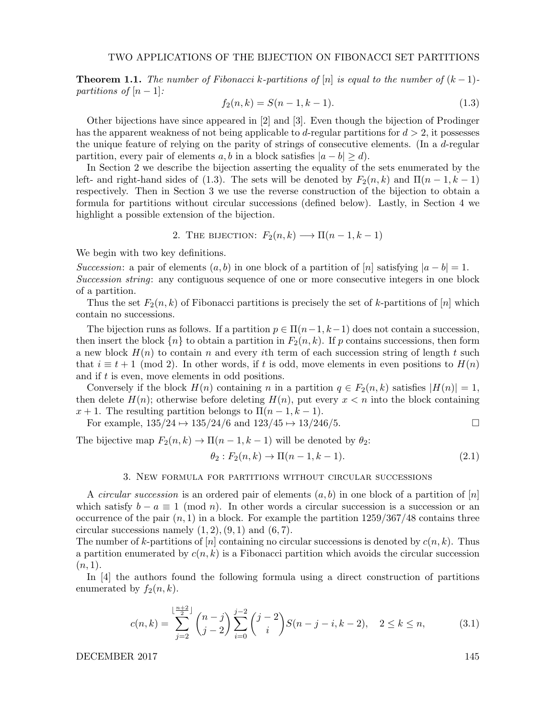**Theorem 1.1.** The number of Fibonacci k-partitions of [n] is equal to the number of  $(k-1)$ partitions of  $[n-1]$ :

$$
f_2(n,k) = S(n-1,k-1).
$$
\n(1.3)

Other bijections have since appeared in [2] and [3]. Even though the bijection of Prodinger has the apparent weakness of not being applicable to d-regular partitions for  $d > 2$ , it possesses the unique feature of relying on the parity of strings of consecutive elements. (In a d-regular partition, every pair of elements a, b in a block satisfies  $|a - b| \ge d$ .

In Section 2 we describe the bijection asserting the equality of the sets enumerated by the left- and right-hand sides of (1.3). The sets will be denoted by  $F_2(n, k)$  and  $\Pi(n - 1, k - 1)$ respectively. Then in Section 3 we use the reverse construction of the bijection to obtain a formula for partitions without circular successions (defined below). Lastly, in Section 4 we highlight a possible extension of the bijection.

2. THE BIJECTION: 
$$
F_2(n,k) \longrightarrow \Pi(n-1,k-1)
$$

We begin with two key definitions.

Succession: a pair of elements  $(a, b)$  in one block of a partition of  $[n]$  satisfying  $|a - b| = 1$ . Succession string: any contiguous sequence of one or more consecutive integers in one block of a partition.

Thus the set  $F_2(n, k)$  of Fibonacci partitions is precisely the set of k-partitions of  $[n]$  which contain no successions.

The bijection runs as follows. If a partition  $p \in \Pi(n-1, k-1)$  does not contain a succession, then insert the block  $\{n\}$  to obtain a partition in  $F_2(n, k)$ . If p contains successions, then form a new block  $H(n)$  to contain n and every ith term of each succession string of length t such that  $i \equiv t + 1 \pmod{2}$ . In other words, if t is odd, move elements in even positions to  $H(n)$ and if t is even, move elements in odd positions.

Conversely if the block  $H(n)$  containing n in a partition  $q \in F_2(n,k)$  satisfies  $|H(n)| = 1$ , then delete  $H(n)$ ; otherwise before deleting  $H(n)$ , put every  $x < n$  into the block containing  $x + 1$ . The resulting partition belongs to  $\Pi(n-1, k-1)$ .

For example,  $135/24 \mapsto 135/24/6$  and  $123/45 \mapsto 13/246/5$ .

The bijective map  $F_2(n, k) \to \Pi(n-1, k-1)$  will be denoted by  $\theta_2$ :

$$
\theta_2: F_2(n,k) \to \Pi(n-1,k-1). \tag{2.1}
$$

## 3. New formula for partitions without circular successions

A *circular succession* is an ordered pair of elements  $(a, b)$  in one block of a partition of  $[n]$ which satisfy  $b - a \equiv 1 \pmod{n}$ . In other words a circular succession is a succession or an occurrence of the pair  $(n, 1)$  in a block. For example the partition  $1259/367/48$  contains three circular successions namely  $(1, 2), (9, 1)$  and  $(6, 7)$ .

The number of k-partitions of  $[n]$  containing no circular successions is denoted by  $c(n, k)$ . Thus a partition enumerated by  $c(n, k)$  is a Fibonacci partition which avoids the circular succession  $(n, 1).$ 

In [4] the authors found the following formula using a direct construction of partitions enumerated by  $f_2(n, k)$ .

$$
c(n,k) = \sum_{j=2}^{\lfloor \frac{n+2}{2} \rfloor} \binom{n-j}{j-2} \sum_{i=0}^{j-2} \binom{j-2}{i} S(n-j-i,k-2), \quad 2 \le k \le n,
$$
 (3.1)

DECEMBER 2017 145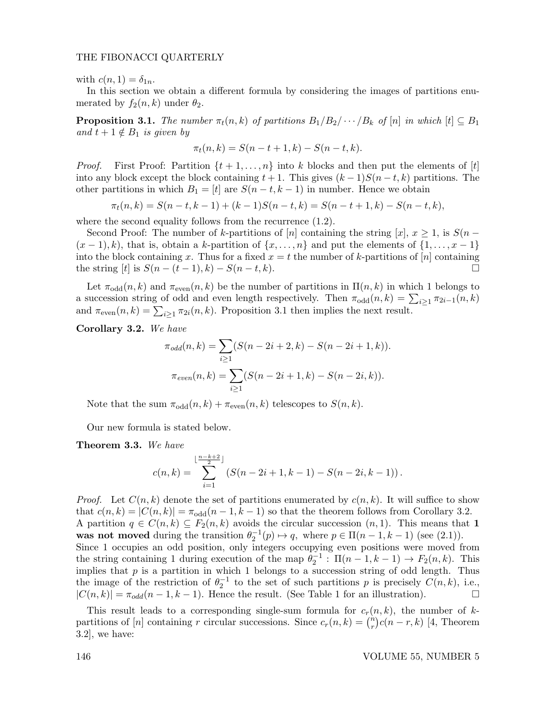## THE FIBONACCI QUARTERLY

with  $c(n, 1) = \delta_{1n}$ .

In this section we obtain a different formula by considering the images of partitions enumerated by  $f_2(n,k)$  under  $\theta_2$ .

**Proposition 3.1.** The number  $\pi_t(n, k)$  of partitions  $B_1/B_2/\cdots/B_k$  of  $[n]$  in which  $[t] \subseteq B_1$ and  $t + 1 \notin B_1$  is given by

$$
\pi_t(n,k) = S(n-t+1,k) - S(n-t,k).
$$

*Proof.* First Proof: Partition  $\{t + 1, \ldots, n\}$  into k blocks and then put the elements of  $[t]$ into any block except the block containing  $t + 1$ . This gives  $(k - 1)S(n - t, k)$  partitions. The other partitions in which  $B_1 = [t]$  are  $S(n-t, k-1)$  in number. Hence we obtain

$$
\pi_t(n,k) = S(n-t,k-1) + (k-1)S(n-t,k) = S(n-t+1,k) - S(n-t,k),
$$

where the second equality follows from the recurrence  $(1.2)$ .

Second Proof: The number of k-partitions of [n] containing the string [x],  $x \ge 1$ , is  $S(n (x - 1), k$ , that is, obtain a k-partition of  $\{x, \ldots, n\}$  and put the elements of  $\{1, \ldots, x-1\}$ into the block containing x. Thus for a fixed  $x = t$  the number of k-partitions of  $[n]$  containing the string  $[t]$  is  $S(n - (t - 1), k) - S(n - t, k)$ .

Let  $\pi_{odd}(n, k)$  and  $\pi_{even}(n, k)$  be the number of partitions in  $\Pi(n, k)$  in which 1 belongs to a succession string of odd and even length respectively. Then  $\pi_{odd}(n,k) = \sum_{i\geq 1} \pi_{2i-1}(n,k)$ and  $\pi_{even}(n,k) = \sum_{i \geq 1} \pi_{2i}(n,k)$ . Proposition 3.1 then implies the next result.

Corollary 3.2. We have

$$
\pi_{odd}(n,k) = \sum_{i\geq 1} (S(n-2i+2,k) - S(n-2i+1,k)).
$$

$$
\pi_{even}(n,k) = \sum_{i\geq 1} (S(n-2i+1,k) - S(n-2i,k)).
$$

Note that the sum  $\pi_{odd}(n,k) + \pi_{even}(n,k)$  telescopes to  $S(n,k)$ .

Our new formula is stated below.

### Theorem 3.3. We have

$$
c(n,k) = \sum_{i=1}^{\lfloor \frac{n-k+2}{2} \rfloor} (S(n-2i+1,k-1) - S(n-2i,k-1)).
$$

*Proof.* Let  $C(n, k)$  denote the set of partitions enumerated by  $c(n, k)$ . It will suffice to show that  $c(n, k) = |C(n, k)| = \pi_{odd}(n - 1, k - 1)$  so that the theorem follows from Corollary 3.2. A partition  $q \in C(n,k) \subseteq F_2(n,k)$  avoids the circular succession  $(n,1)$ . This means that 1 was not moved during the transition  $\theta_2^{-1}(p) \mapsto q$ , where  $p \in \Pi(n-1, k-1)$  (see (2.1)). Since 1 occupies an odd position, only integers occupying even positions were moved from the string containing 1 during execution of the map  $\theta_2^{-1}$ :  $\Pi(n-1,k-1) \to F_2(n,k)$ . This implies that  $p$  is a partition in which 1 belongs to a succession string of odd length. Thus the image of the restriction of  $\theta_2^{-1}$  to the set of such partitions p is precisely  $C(n, k)$ , i.e.,  $|C(n, k)| = \pi_{odd}(n - 1, k - 1)$ . Hence the result. (See Table 1 for an illustration).

This result leads to a corresponding single-sum formula for  $c_r(n, k)$ , the number of kpartitions of [n] containing r circular successions. Since  $c_r(n, k) = \binom{n}{r}$  $\binom{n}{r}c(n-r,k)$  [4, Theorem 3.2], we have: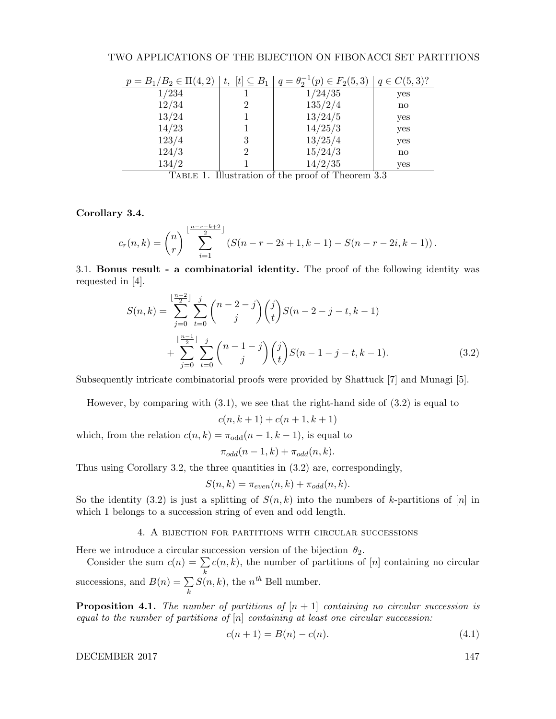| $p = B_1/B_2 \in \Pi(4,2)$ | $t, \; [t] \subseteq B_1 \;   \; .$ | $q = \theta_2^{-1}(p) \in F_2(5,3)   q \in C(5,3)$ ? |     |
|----------------------------|-------------------------------------|------------------------------------------------------|-----|
| 1/234                      |                                     | 1/24/35                                              | yes |
| 12/34                      | 2                                   | 135/2/4                                              | no  |
| 13/24                      |                                     | 13/24/5                                              | yes |
| 14/23                      |                                     | 14/25/3                                              | yes |
| 123/4                      | 3                                   | 13/25/4                                              | yes |
| 124/3                      | 2                                   | 15/24/3                                              | no  |
| 134/2                      |                                     | 14/2/35                                              | yes |

Table 1. Illustration of the proof of Theorem 3.3

Corollary 3.4.

$$
c_r(n,k) = {n \choose r} \sum_{i=1}^{\lfloor \frac{n-r-k+2}{2} \rfloor} (S(n-r-2i+1,k-1) - S(n-r-2i,k-1)).
$$

3.1. Bonus result - a combinatorial identity. The proof of the following identity was requested in [4].

$$
S(n,k) = \sum_{j=0}^{\lfloor \frac{n-2}{2} \rfloor} \sum_{t=0}^{j} {n-2-j \choose j} {j \choose t} S(n-2-j-t,k-1)
$$
  
+ 
$$
\sum_{j=0}^{\lfloor \frac{n-1}{2} \rfloor} \sum_{t=0}^{j} {n-1-j \choose j} {j \choose t} S(n-1-j-t,k-1).
$$
 (3.2)

Subsequently intricate combinatorial proofs were provided by Shattuck [7] and Munagi [5].

However, by comparing with  $(3.1)$ , we see that the right-hand side of  $(3.2)$  is equal to

$$
c(n, k + 1) + c(n + 1, k + 1)
$$

which, from the relation  $c(n, k) = \pi_{odd}(n - 1, k - 1)$ , is equal to

$$
\pi_{odd}(n-1,k) + \pi_{odd}(n,k).
$$

Thus using Corollary 3.2, the three quantities in (3.2) are, correspondingly,

$$
S(n,k) = \pi_{even}(n,k) + \pi_{odd}(n,k).
$$

So the identity (3.2) is just a splitting of  $S(n, k)$  into the numbers of k-partitions of [n] in which 1 belongs to a succession string of even and odd length.

## 4. A bijection for partitions with circular successions

Here we introduce a circular succession version of the bijection  $\theta_2$ .

Consider the sum  $c(n) = \sum$ k  $c(n, k)$ , the number of partitions of  $[n]$  containing no circular successions, and  $B(n) = \sum$ k  $S(n, k)$ , the  $n<sup>th</sup>$  Bell number.

**Proposition 4.1.** The number of partitions of  $[n+1]$  containing no circular succession is equal to the number of partitions of  $[n]$  containing at least one circular succession:

$$
c(n+1) = B(n) - c(n). \tag{4.1}
$$

DECEMBER 2017 147